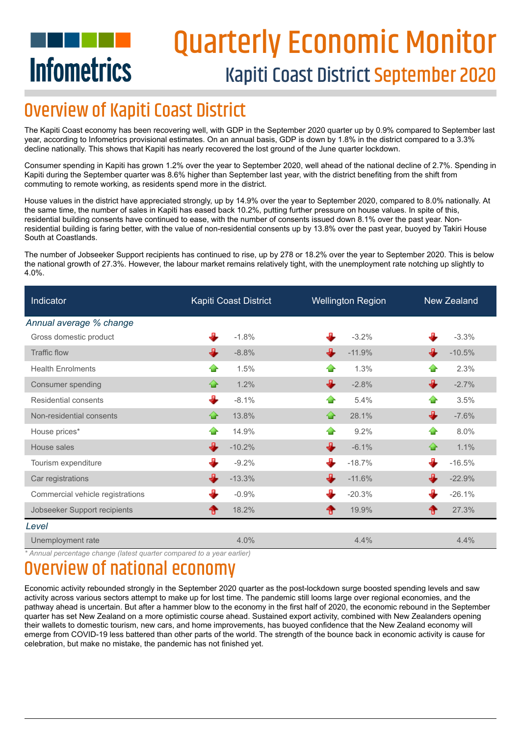# **Infometrics**

# Quarterly Economic Monitor Kapiti Coast District September 2020

### **Overview of Kapiti Coast District**

The Kapiti Coast economy has been recovering well, with GDP in the September 2020 quarter up by 0.9% compared to September last year, according to Infometrics provisional estimates. On an annual basis, GDP is down by 1.8% in the district compared to a 3.3% decline nationally. This shows that Kapiti has nearly recovered the lost ground of the June quarter lockdown.

Consumer spending in Kapiti has grown 1.2% over the year to September 2020, well ahead of the national decline of 2.7%. Spending in Kapiti during the September quarter was 8.6% higher than September last year, with the district benefiting from the shift from commuting to remote working, as residents spend more in the district.

House values in the district have appreciated strongly, up by 14.9% over the year to September 2020, compared to 8.0% nationally. At the same time, the number of sales in Kapiti has eased back 10.2%, putting further pressure on house values. In spite of this, residential building consents have continued to ease, with the number of consents issued down 8.1% over the past year. Nonresidential building is faring better, with the value of non-residential consents up by 13.8% over the past year, buoyed by Takiri House South at Coastlands.

The number of Jobseeker Support recipients has continued to rise, up by 278 or 18.2% over the year to September 2020. This is below the national growth of 27.3%. However, the labour market remains relatively tight, with the unemployment rate notching up slightly to 4.0%.

| <b>Indicator</b>                 | Kapiti Coast District | <b>Wellington Region</b> | New Zealand    |
|----------------------------------|-----------------------|--------------------------|----------------|
| Annual average % change          |                       |                          |                |
| Gross domestic product           | $-1.8%$               | $-3.2%$                  | $-3.3%$        |
| <b>Traffic flow</b>              | J.<br>$-8.8%$         | $-11.9%$                 | J.<br>$-10.5%$ |
| <b>Health Enrolments</b>         | 1.5%<br><b>SP</b>     | 1.3%<br>₩                | 2.3%<br>42     |
| Consumer spending                | 1.2%<br>♧             | €<br>$-2.8%$             | ⊕<br>$-2.7%$   |
| Residential consents             | ᅭ<br>$-8.1%$          | 5.4%<br>⊕                | 3.5%<br>չ      |
| Non-residential consents         | 13.8%<br>♧            | ♤<br>28.1%               | ⊕<br>$-7.6%$   |
| House prices*                    | 14.9%<br>43           | 9.2%<br>- 1              | 8.0%<br>⊕      |
| House sales                      | JL.<br>$-10.2%$       | ⊕<br>$-6.1%$             | ⇪<br>1.1%      |
| Tourism expenditure              | JD.<br>$-9.2%$        | JL,<br>$-18.7%$          | ┹<br>$-16.5%$  |
| Car registrations                | $-13.3%$              | ┹<br>$-11.6%$            | $-22.9%$       |
| Commercial vehicle registrations | $-0.9%$               | л<br>$-20.3%$            | $-26.1%$       |
| Jobseeker Support recipients     | 18.2%                 | 19.9%<br>₩               | 27.3%<br>⋒     |
| Level                            |                       |                          |                |
| Unemployment rate                | 4.0%                  | 4.4%                     | 4.4%           |

*\* Annual percentage change (latest quarter compared to a year earlier)*

### view of national economy

Economic activity rebounded strongly in the September 2020 quarter as the post-lockdown surge boosted spending levels and saw activity across various sectors attempt to make up for lost time. The pandemic still looms large over regional economies, and the pathway ahead is uncertain. But after a hammer blow to the economy in the first half of 2020, the economic rebound in the September quarter has set New Zealand on a more optimistic course ahead. Sustained export activity, combined with New Zealanders opening their wallets to domestic tourism, new cars, and home improvements, has buoyed confidence that the New Zealand economy will emerge from COVID-19 less battered than other parts of the world. The strength of the bounce back in economic activity is cause for celebration, but make no mistake, the pandemic has not finished yet.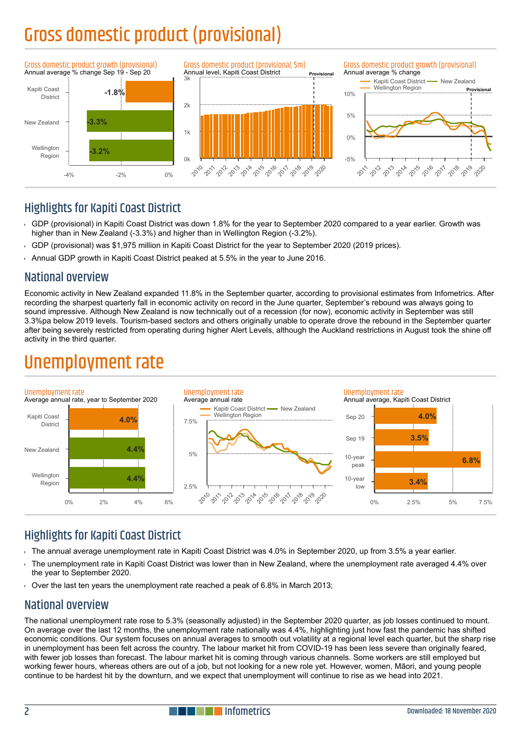# Gross domestic product (provisional)



### **Highlights for Kapiti Coast District**

- GDP (provisional) in Kapiti Coast District was down 1.8% for the year to September 2020 compared to a year earlier. Growth was  $\mathbf{r}$ higher than in New Zealand (-3.3%) and higher than in Wellington Region (-3.2%).
- GDP (provisional) was \$1,975 million in Kapiti Coast District for the year to September 2020 (2019 prices).
- Annual GDP growth in Kapiti Coast District peaked at 5.5% in the year to June 2016.

#### National overview

Economic activity in New Zealand expanded 11.8% in the September quarter, according to provisional estimates from Infometrics. After recording the sharpest quarterly fall in economic activity on record in the June quarter, September's rebound was always going to sound impressive. Although New Zealand is now technically out of a recession (for now), economic activity in September was still 3.3%pa below 2019 levels. Tourism-based sectors and others originally unable to operate drove the rebound in the September quarter after being severely restricted from operating during higher Alert Levels, although the Auckland restrictions in August took the shine off activity in the third quarter.

### Unemployment rate



### **Highlights for Kapiti Coast District**

- The annual average unemployment rate in Kapiti Coast District was 4.0% in September 2020, up from 3.5% a year earlier.
- The unemployment rate in Kapiti Coast District was lower than in New Zealand, where the unemployment rate averaged 4.4% over the year to September 2020.
- Over the last ten years the unemployment rate reached a peak of 6.8% in March 2013;

### National overview

The national unemployment rate rose to 5.3% (seasonally adjusted) in the September 2020 quarter, as job losses continued to mount. On average over the last 12 months, the unemployment rate nationally was 4.4%, highlighting just how fast the pandemic has shifted economic conditions. Our system focuses on annual averages to smooth out volatility at a regional level each quarter, but the sharp rise in unemployment has been felt across the country. The labour market hit from COVID-19 has been less severe than originally feared, with fewer job losses than forecast. The labour market hit is coming through various channels. Some workers are still employed but working fewer hours, whereas others are out of a job, but not looking for a new role yet. However, women, Māori, and young people continue to be hardest hit by the downturn, and we expect that unemployment will continue to rise as we head into 2021.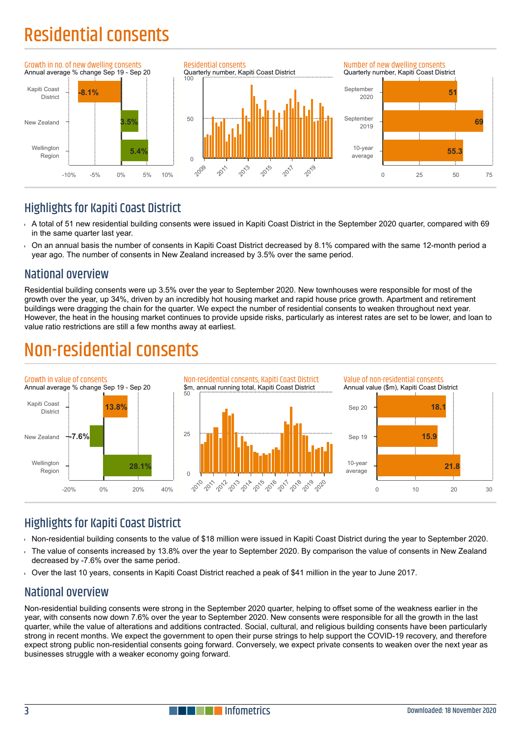# Residential consents



### **Highlights for Kapiti Coast District**

- A total of 51 new residential building consents were issued in Kapiti Coast District in the September 2020 quarter, compared with 69 in the same quarter last year.
- On an annual basis the number of consents in Kapiti Coast District decreased by 8.1% compared with the same 12-month period a year ago. The number of consents in New Zealand increased by 3.5% over the same period.

### National overview

Residential building consents were up 3.5% over the year to September 2020. New townhouses were responsible for most of the growth over the year, up 34%, driven by an incredibly hot housing market and rapid house price growth. Apartment and retirement buildings were dragging the chain for the quarter. We expect the number of residential consents to weaken throughout next year. However, the heat in the housing market continues to provide upside risks, particularly as interest rates are set to be lower, and loan to value ratio restrictions are still a few months away at earliest.

### Non-residential consents



### Highlights for Kapiti Coast District

- Non-residential building consents to the value of \$18 million were issued in Kapiti Coast District during the year to September 2020.  $\ddot{\phantom{1}}$
- The value of consents increased by 13.8% over the year to September 2020. By comparison the value of consents in New Zealand decreased by -7.6% over the same period.
- Over the last 10 years, consents in Kapiti Coast District reached a peak of \$41 million in the year to June 2017.

### National overview

Non-residential building consents were strong in the September 2020 quarter, helping to offset some of the weakness earlier in the year, with consents now down 7.6% over the year to September 2020. New consents were responsible for all the growth in the last quarter, while the value of alterations and additions contracted. Social, cultural, and religious building consents have been particularly strong in recent months. We expect the government to open their purse strings to help support the COVID-19 recovery, and therefore expect strong public non-residential consents going forward. Conversely, we expect private consents to weaken over the next year as businesses struggle with a weaker economy going forward.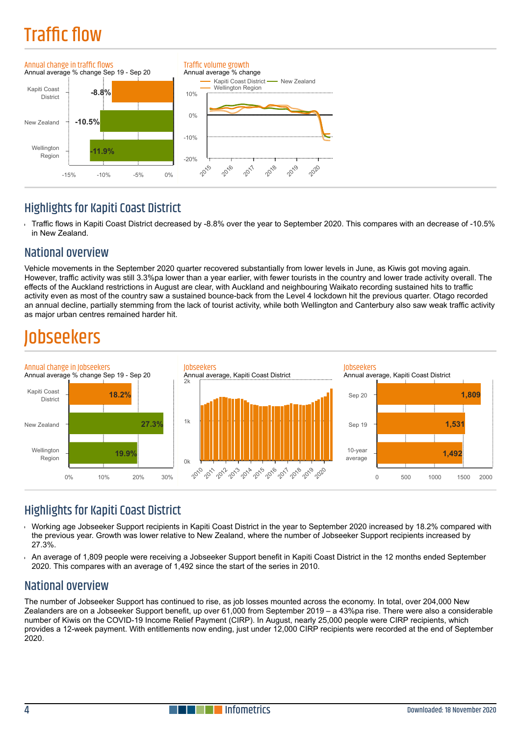# **Traffic flow**



### **Highlights for Kapiti Coast District**

Traffic flows in Kapiti Coast District decreased by -8.8% over the year to September 2020. This compares with an decrease of -10.5% Ŷ. in New Zealand.

### National overview

Vehicle movements in the September 2020 quarter recovered substantially from lower levels in June, as Kiwis got moving again. However, traffic activity was still 3.3%pa lower than a year earlier, with fewer tourists in the country and lower trade activity overall. The effects of the Auckland restrictions in August are clear, with Auckland and neighbouring Waikato recording sustained hits to traffic activity even as most of the country saw a sustained bounce-back from the Level 4 lockdown hit the previous quarter. Otago recorded an annual decline, partially stemming from the lack of tourist activity, while both Wellington and Canterbury also saw weak traffic activity as major urban centres remained harder hit.

### hseekers



### **Highlights for Kapiti Coast District**

- Working age Jobseeker Support recipients in Kapiti Coast District in the year to September 2020 increased by 18.2% compared with the previous year. Growth was lower relative to New Zealand, where the number of Jobseeker Support recipients increased by 27.3%.
- An average of 1,809 people were receiving a Jobseeker Support benefit in Kapiti Coast District in the 12 months ended September 2020. This compares with an average of 1,492 since the start of the series in 2010.

### National overview

The number of Jobseeker Support has continued to rise, as job losses mounted across the economy. In total, over 204,000 New Zealanders are on a Jobseeker Support benefit, up over 61,000 from September 2019 – a 43%pa rise. There were also a considerable number of Kiwis on the COVID-19 Income Relief Payment (CIRP). In August, nearly 25,000 people were CIRP recipients, which provides a 12-week payment. With entitlements now ending, just under 12,000 CIRP recipients were recorded at the end of September 2020.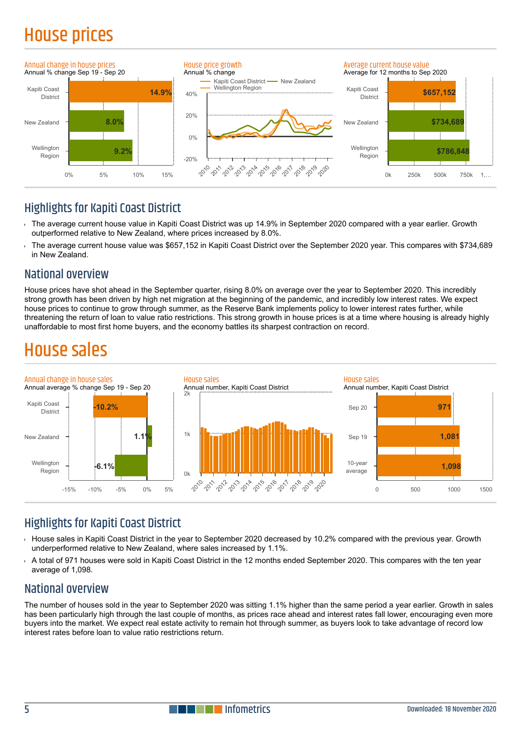## House prices



### **Highlights for Kapiti Coast District**

- The average current house value in Kapiti Coast District was up 14.9% in September 2020 compared with a year earlier. Growth outperformed relative to New Zealand, where prices increased by 8.0%.
- The average current house value was \$657,152 in Kapiti Coast District over the September 2020 year. This compares with \$734,689 in New Zealand.

#### National overview

House prices have shot ahead in the September quarter, rising 8.0% on average over the year to September 2020. This incredibly strong growth has been driven by high net migration at the beginning of the pandemic, and incredibly low interest rates. We expect house prices to continue to grow through summer, as the Reserve Bank implements policy to lower interest rates further, while threatening the return of loan to value ratio restrictions. This strong growth in house prices is at a time where housing is already highly unaffordable to most first home buyers, and the economy battles its sharpest contraction on record.

### House sales



### Highlights for Kapiti Coast District

- House sales in Kapiti Coast District in the year to September 2020 decreased by 10.2% compared with the previous year. Growth  $\overline{1}$ underperformed relative to New Zealand, where sales increased by 1.1%.
- A total of 971 houses were sold in Kapiti Coast District in the 12 months ended September 2020. This compares with the ten year average of 1,098.

### National overview

The number of houses sold in the year to September 2020 was sitting 1.1% higher than the same period a year earlier. Growth in sales has been particularly high through the last couple of months, as prices race ahead and interest rates fall lower, encouraging even more buyers into the market. We expect real estate activity to remain hot through summer, as buyers look to take advantage of record low interest rates before loan to value ratio restrictions return.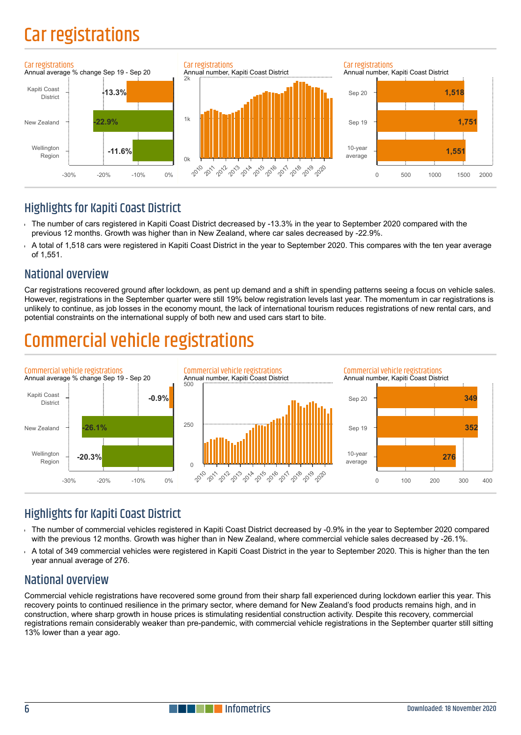### Car registrations



### **Highlights for Kapiti Coast District**

- The number of cars registered in Kapiti Coast District decreased by -13.3% in the year to September 2020 compared with the previous 12 months. Growth was higher than in New Zealand, where car sales decreased by -22.9%.
- A total of 1,518 cars were registered in Kapiti Coast District in the year to September 2020. This compares with the ten year average of 1,551.

### National overview

Car registrations recovered ground after lockdown, as pent up demand and a shift in spending patterns seeing a focus on vehicle sales. However, registrations in the September quarter were still 19% below registration levels last year. The momentum in car registrations is unlikely to continue, as job losses in the economy mount, the lack of international tourism reduces registrations of new rental cars, and potential constraints on the international supply of both new and used cars start to bite.

### ial vehicle registrat



### Highlights for Kapiti Coast District

- The number of commercial vehicles registered in Kapiti Coast District decreased by -0.9% in the year to September 2020 compared with the previous 12 months. Growth was higher than in New Zealand, where commercial vehicle sales decreased by -26.1%.
- A total of 349 commercial vehicles were registered in Kapiti Coast District in the year to September 2020. This is higher than the ten year annual average of 276.

### National overview

Commercial vehicle registrations have recovered some ground from their sharp fall experienced during lockdown earlier this year. This recovery points to continued resilience in the primary sector, where demand for New Zealand's food products remains high, and in construction, where sharp growth in house prices is stimulating residential construction activity. Despite this recovery, commercial registrations remain considerably weaker than pre-pandemic, with commercial vehicle registrations in the September quarter still sitting 13% lower than a year ago.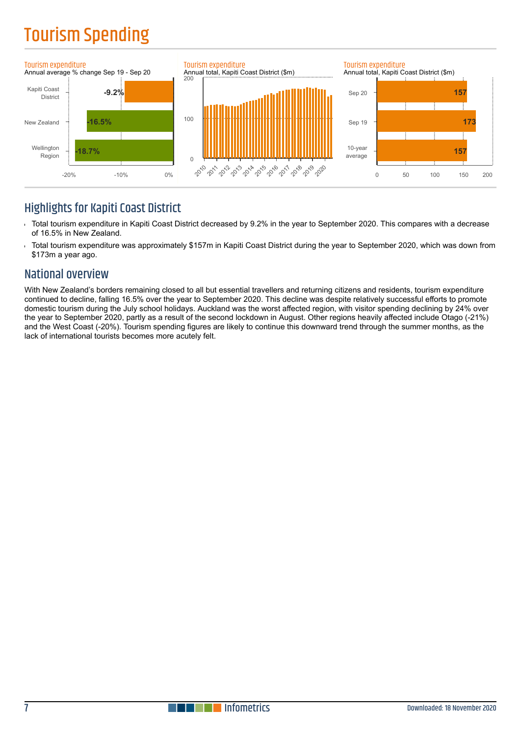# Tourism Spending



### **Highlights for Kapiti Coast District**

- Total tourism expenditure in Kapiti Coast District decreased by 9.2% in the year to September 2020. This compares with a decrease l. of 16.5% in New Zealand.
- Total tourism expenditure was approximately \$157m in Kapiti Coast District during the year to September 2020, which was down from ń \$173m a year ago.

### National overview

With New Zealand's borders remaining closed to all but essential travellers and returning citizens and residents, tourism expenditure continued to decline, falling 16.5% over the year to September 2020. This decline was despite relatively successful efforts to promote domestic tourism during the July school holidays. Auckland was the worst affected region, with visitor spending declining by 24% over the year to September 2020, partly as a result of the second lockdown in August. Other regions heavily affected include Otago (-21%) and the West Coast (-20%). Tourism spending figures are likely to continue this downward trend through the summer months, as the lack of international tourists becomes more acutely felt.

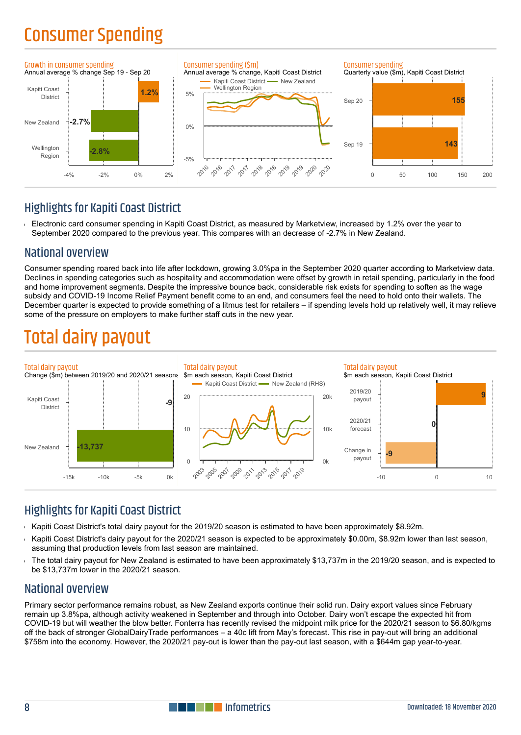### Consumer Spending



### **Highlights for Kapiti Coast District**

Electronic card consumer spending in Kapiti Coast District, as measured by Marketview, increased by 1.2% over the year to Ŷ. September 2020 compared to the previous year. This compares with an decrease of -2.7% in New Zealand.

### National overview

Consumer spending roared back into life after lockdown, growing 3.0%pa in the September 2020 quarter according to Marketview data. Declines in spending categories such as hospitality and accommodation were offset by growth in retail spending, particularly in the food and home improvement segments. Despite the impressive bounce back, considerable risk exists for spending to soften as the wage subsidy and COVID-19 Income Relief Payment benefit come to an end, and consumers feel the need to hold onto their wallets. The December quarter is expected to provide something of a litmus test for retailers – if spending levels hold up relatively well, it may relieve some of the pressure on employers to make further staff cuts in the new year.

### Total dairy payout



### **Highlights for Kapiti Coast District**

- Kapiti Coast District's total dairy payout for the 2019/20 season is estimated to have been approximately \$8.92m.
- Kapiti Coast District's dairy payout for the 2020/21 season is expected to be approximately \$0.00m, \$8.92m lower than last season, assuming that production levels from last season are maintained.
- The total dairy payout for New Zealand is estimated to have been approximately \$13,737m in the 2019/20 season, and is expected to be \$13,737m lower in the 2020/21 season.

#### National overview

Primary sector performance remains robust, as New Zealand exports continue their solid run. Dairy export values since February remain up 3.8%pa, although activity weakened in September and through into October. Dairy won't escape the expected hit from COVID-19 but will weather the blow better. Fonterra has recently revised the midpoint milk price for the 2020/21 season to \$6.80/kgms off the back of stronger GlobalDairyTrade performances – a 40c lift from May's forecast. This rise in pay-out will bring an additional \$758m into the economy. However, the 2020/21 pay-out is lower than the pay-out last season, with a \$644m gap year-to-year.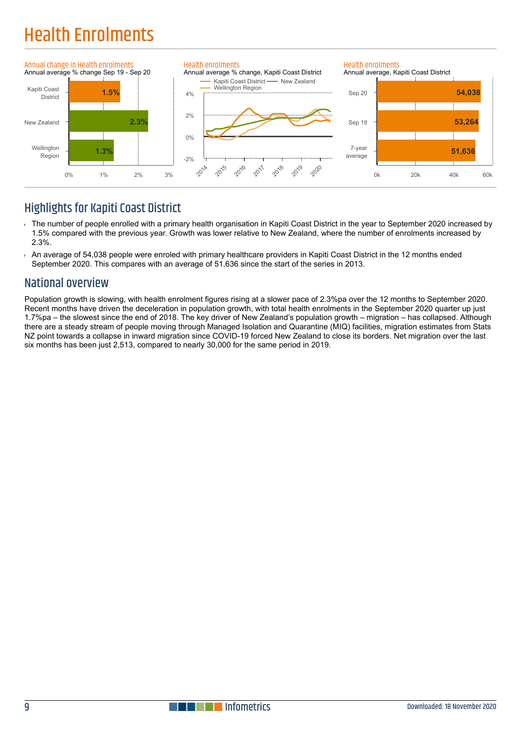# Health Enrolments



### **Highlights for Kapiti Coast District**

- The number of people enrolled with a primary health organisation in Kapiti Coast District in the year to September 2020 increased by 1.5% compared with the previous year. Growth was lower relative to New Zealand, where the number of enrolments increased by 2.3%.
- An average of 54,038 people were enroled with primary healthcare providers in Kapiti Coast District in the 12 months ended September 2020. This compares with an average of 51,636 since the start of the series in 2013.

### National overview

Population growth is slowing, with health enrolment figures rising at a slower pace of 2.3%pa over the 12 months to September 2020. Recent months have driven the deceleration in population growth, with total health enrolments in the September 2020 quarter up just 1.7%pa – the slowest since the end of 2018. The key driver of New Zealand's population growth – migration – has collapsed. Although there are a steady stream of people moving through Managed Isolation and Quarantine (MIQ) facilities, migration estimates from Stats NZ point towards a collapse in inward migration since COVID-19 forced New Zealand to close its borders. Net migration over the last six months has been just 2,513, compared to nearly 30,000 for the same period in 2019.

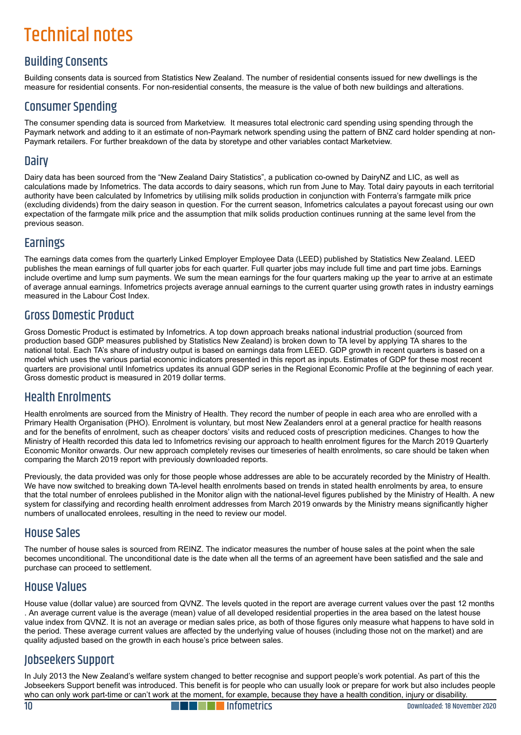# Technical notes

### Building Consents

Building consents data is sourced from Statistics New Zealand. The number of residential consents issued for new dwellings is the measure for residential consents. For non-residential consents, the measure is the value of both new buildings and alterations.

### Consumer Spending

The consumer spending data is sourced from Marketview. It measures total electronic card spending using spending through the Paymark network and adding to it an estimate of non-Paymark network spending using the pattern of BNZ card holder spending at non-Paymark retailers. For further breakdown of the data by storetype and other variables contact Marketview.

#### **Dairy**

Dairy data has been sourced from the "New Zealand Dairy Statistics", a publication co-owned by DairyNZ and LIC, as well as calculations made by Infometrics. The data accords to dairy seasons, which run from June to May. Total dairy payouts in each territorial authority have been calculated by Infometrics by utilising milk solids production in conjunction with Fonterra's farmgate milk price (excluding dividends) from the dairy season in question. For the current season, Infometrics calculates a payout forecast using our own expectation of the farmgate milk price and the assumption that milk solids production continues running at the same level from the previous season.

### Earnings

The earnings data comes from the quarterly Linked Employer Employee Data (LEED) published by Statistics New Zealand. LEED publishes the mean earnings of full quarter jobs for each quarter. Full quarter jobs may include full time and part time jobs. Earnings include overtime and lump sum payments. We sum the mean earnings for the four quarters making up the year to arrive at an estimate of average annual earnings. Infometrics projects average annual earnings to the current quarter using growth rates in industry earnings measured in the Labour Cost Index.

### Gross Domestic Product

Gross Domestic Product is estimated by Infometrics. A top down approach breaks national industrial production (sourced from production based GDP measures published by Statistics New Zealand) is broken down to TA level by applying TA shares to the national total. Each TA's share of industry output is based on earnings data from LEED. GDP growth in recent quarters is based on a model which uses the various partial economic indicators presented in this report as inputs. Estimates of GDP for these most recent quarters are provisional until Infometrics updates its annual GDP series in the Regional Economic Profile at the beginning of each year. Gross domestic product is measured in 2019 dollar terms.

### Health Enrolments

Health enrolments are sourced from the Ministry of Health. They record the number of people in each area who are enrolled with a Primary Health Organisation (PHO). Enrolment is voluntary, but most New Zealanders enrol at a general practice for health reasons and for the benefits of enrolment, such as cheaper doctors' visits and reduced costs of prescription medicines. Changes to how the Ministry of Health recorded this data led to Infometrics revising our approach to health enrolment figures for the March 2019 Quarterly Economic Monitor onwards. Our new approach completely revises our timeseries of health enrolments, so care should be taken when comparing the March 2019 report with previously downloaded reports.

Previously, the data provided was only for those people whose addresses are able to be accurately recorded by the Ministry of Health. We have now switched to breaking down TA-level health enrolments based on trends in stated health enrolments by area, to ensure that the total number of enrolees published in the Monitor align with the national-level figures published by the Ministry of Health. A new system for classifying and recording health enrolment addresses from March 2019 onwards by the Ministry means significantly higher numbers of unallocated enrolees, resulting in the need to review our model.

#### House Sales

The number of house sales is sourced from REINZ. The indicator measures the number of house sales at the point when the sale becomes unconditional. The unconditional date is the date when all the terms of an agreement have been satisfied and the sale and purchase can proceed to settlement.

#### House Values

House value (dollar value) are sourced from QVNZ. The levels quoted in the report are average current values over the past 12 months . An average current value is the average (mean) value of all developed residential properties in the area based on the latest house value index from QVNZ. It is not an average or median sales price, as both of those figures only measure what happens to have sold in the period. These average current values are affected by the underlying value of houses (including those not on the market) and are quality adjusted based on the growth in each house's price between sales.

### Jobseekers Support

In July 2013 the New Zealand's welfare system changed to better recognise and support people's work potential. As part of this the Jobseekers Support benefit was introduced. This benefit is for people who can usually look or prepare for work but also includes people who can only work part-time or can't work at the moment, for example, because they have a health condition, injury or disability.